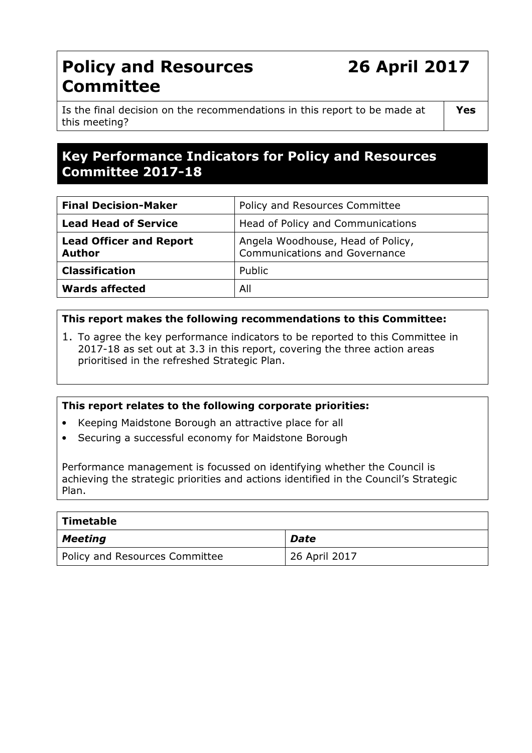# Policy and Resources 26 April 2017 **Committee**

Yes

Is the final decision on the recommendations in this report to be made at this meeting?

# Key Performance Indicators for Policy and Resources Committee 2017-18

| <b>Final Decision-Maker</b>                     | Policy and Resources Committee                                            |  |
|-------------------------------------------------|---------------------------------------------------------------------------|--|
| <b>Lead Head of Service</b>                     | Head of Policy and Communications                                         |  |
| <b>Lead Officer and Report</b><br><b>Author</b> | Angela Woodhouse, Head of Policy,<br><b>Communications and Governance</b> |  |
| <b>Classification</b>                           | Public                                                                    |  |
| <b>Wards affected</b>                           | All                                                                       |  |

### This report makes the following recommendations to this Committee:

1. To agree the key performance indicators to be reported to this Committee in 2017-18 as set out at 3.3 in this report, covering the three action areas prioritised in the refreshed Strategic Plan.

#### This report relates to the following corporate priorities:

- Keeping Maidstone Borough an attractive place for all
- Securing a successful economy for Maidstone Borough

Performance management is focussed on identifying whether the Council is achieving the strategic priorities and actions identified in the Council's Strategic Plan.

| Timetable                      |               |
|--------------------------------|---------------|
| Meeting                        | Date          |
| Policy and Resources Committee | 26 April 2017 |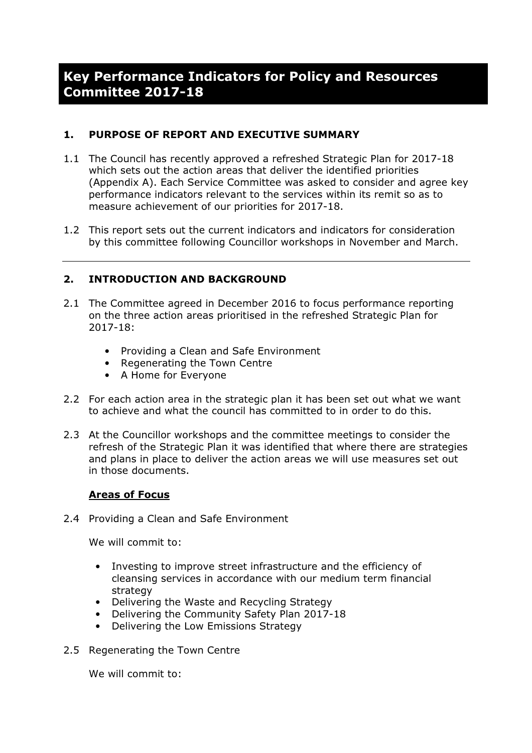# Key Performance Indicators for Policy and Resources Committee 2017-18

## 1. PURPOSE OF REPORT AND EXECUTIVE SUMMARY

- 1.1 The Council has recently approved a refreshed Strategic Plan for 2017-18 which sets out the action areas that deliver the identified priorities (Appendix A). Each Service Committee was asked to consider and agree key performance indicators relevant to the services within its remit so as to measure achievement of our priorities for 2017-18.
- 1.2 This report sets out the current indicators and indicators for consideration by this committee following Councillor workshops in November and March.

### 2. INTRODUCTION AND BACKGROUND

- 2.1 The Committee agreed in December 2016 to focus performance reporting on the three action areas prioritised in the refreshed Strategic Plan for 2017-18:
	- Providing a Clean and Safe Environment
	- Regenerating the Town Centre
	- A Home for Everyone
- 2.2 For each action area in the strategic plan it has been set out what we want to achieve and what the council has committed to in order to do this.
- 2.3 At the Councillor workshops and the committee meetings to consider the refresh of the Strategic Plan it was identified that where there are strategies and plans in place to deliver the action areas we will use measures set out in those documents.

#### Areas of Focus

2.4 Providing a Clean and Safe Environment

We will commit to:

- Investing to improve street infrastructure and the efficiency of cleansing services in accordance with our medium term financial strategy
- Delivering the Waste and Recycling Strategy
- Delivering the Community Safety Plan 2017-18
- Delivering the Low Emissions Strategy
- 2.5 Regenerating the Town Centre

We will commit to: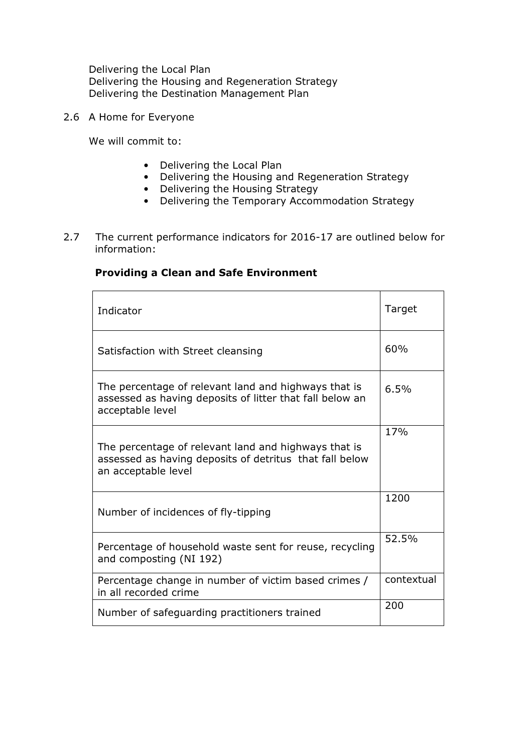Delivering the Local Plan Delivering the Housing and Regeneration Strategy Delivering the Destination Management Plan

2.6 A Home for Everyone

 $\mathbf{r}$ 

We will commit to:

- Delivering the Local Plan
- Delivering the Housing and Regeneration Strategy
- Delivering the Housing Strategy
- Delivering the Temporary Accommodation Strategy
- 2.7 The current performance indicators for 2016-17 are outlined below for information:

## Providing a Clean and Safe Environment

| Indicator                                                                                                                              | Target     |
|----------------------------------------------------------------------------------------------------------------------------------------|------------|
| Satisfaction with Street cleansing                                                                                                     | 60%        |
| The percentage of relevant land and highways that is<br>assessed as having deposits of litter that fall below an<br>acceptable level   | 6.5%       |
| The percentage of relevant land and highways that is<br>assessed as having deposits of detritus that fall below<br>an acceptable level | 17%        |
| Number of incidences of fly-tipping                                                                                                    | 1200       |
| Percentage of household waste sent for reuse, recycling<br>and composting (NI 192)                                                     | 52.5%      |
| Percentage change in number of victim based crimes /<br>in all recorded crime                                                          | contextual |
| Number of safeguarding practitioners trained                                                                                           | 200        |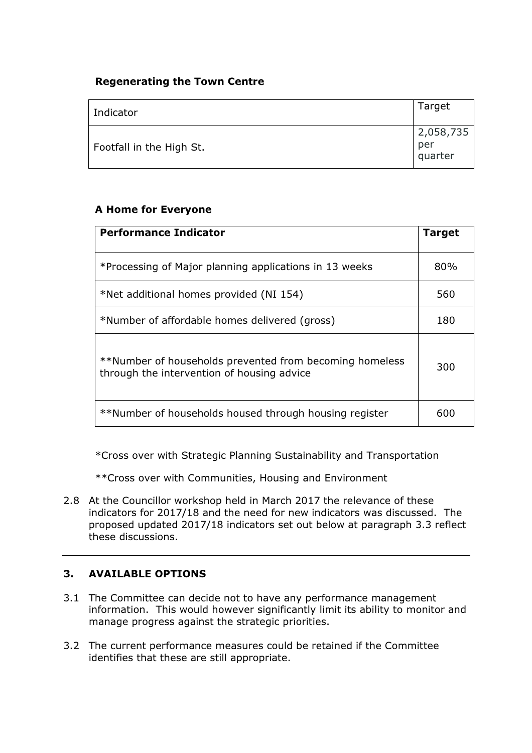## Regenerating the Town Centre

| Indicator                | Target                      |
|--------------------------|-----------------------------|
| Footfall in the High St. | 2,058,735<br>per<br>quarter |

### A Home for Everyone

| <b>Performance Indicator</b>                                                                          |     |
|-------------------------------------------------------------------------------------------------------|-----|
| *Processing of Major planning applications in 13 weeks                                                | 80% |
| *Net additional homes provided (NI 154)                                                               | 560 |
| *Number of affordable homes delivered (gross)                                                         |     |
| **Number of households prevented from becoming homeless<br>through the intervention of housing advice | 300 |
| **Number of households housed through housing register                                                | 600 |

\*Cross over with Strategic Planning Sustainability and Transportation

\*\*Cross over with Communities, Housing and Environment

2.8 At the Councillor workshop held in March 2017 the relevance of these indicators for 2017/18 and the need for new indicators was discussed. The proposed updated 2017/18 indicators set out below at paragraph 3.3 reflect these discussions.

## 3. AVAILABLE OPTIONS

- 3.1 The Committee can decide not to have any performance management information. This would however significantly limit its ability to monitor and manage progress against the strategic priorities.
- 3.2 The current performance measures could be retained if the Committee identifies that these are still appropriate.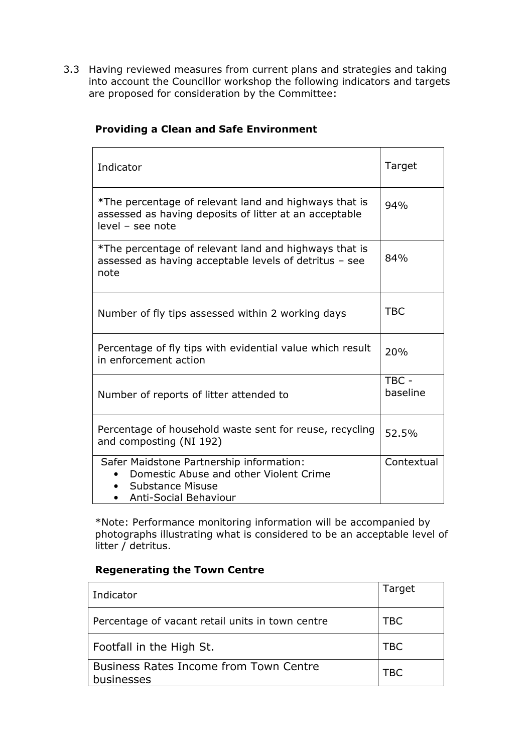3.3 Having reviewed measures from current plans and strategies and taking into account the Councillor workshop the following indicators and targets are proposed for consideration by the Committee:

| Indicator                                                                                                                                                  | Target            |
|------------------------------------------------------------------------------------------------------------------------------------------------------------|-------------------|
| *The percentage of relevant land and highways that is<br>assessed as having deposits of litter at an acceptable<br>level - see note                        | 94%               |
| *The percentage of relevant land and highways that is<br>assessed as having acceptable levels of detritus - see<br>note                                    | 84%               |
| Number of fly tips assessed within 2 working days                                                                                                          | <b>TBC</b>        |
| Percentage of fly tips with evidential value which result<br>in enforcement action                                                                         | 20%               |
| Number of reports of litter attended to                                                                                                                    | TBC -<br>baseline |
| Percentage of household waste sent for reuse, recycling<br>and composting (NI 192)                                                                         | 52.5%             |
| Safer Maidstone Partnership information:<br>Domestic Abuse and other Violent Crime<br><b>Substance Misuse</b><br><b>Anti-Social Behaviour</b><br>$\bullet$ | Contextual        |

## Providing a Clean and Safe Environment

\*Note: Performance monitoring information will be accompanied by photographs illustrating what is considered to be an acceptable level of litter / detritus.

#### Regenerating the Town Centre

| Indicator                                                   | Target     |
|-------------------------------------------------------------|------------|
| Percentage of vacant retail units in town centre            | <b>TBC</b> |
| Footfall in the High St.                                    | <b>TBC</b> |
| <b>Business Rates Income from Town Centre</b><br>businesses | TBC        |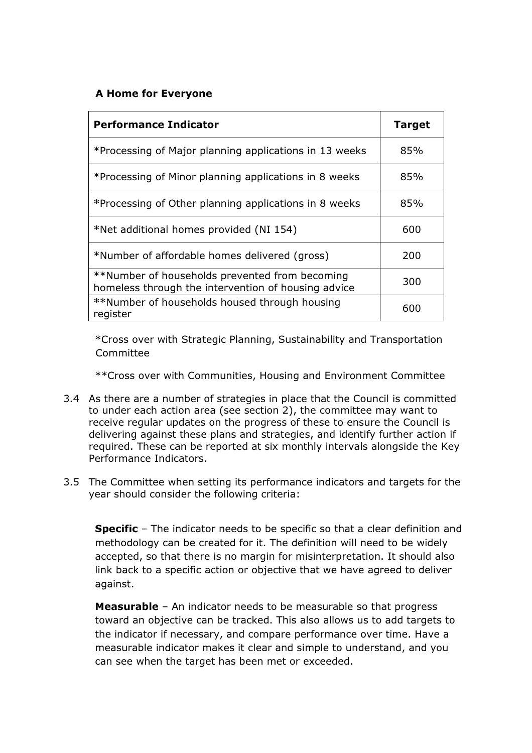## A Home for Everyone

| <b>Performance Indicator</b>                                                                          | <b>Target</b> |
|-------------------------------------------------------------------------------------------------------|---------------|
| *Processing of Major planning applications in 13 weeks                                                | 85%           |
| *Processing of Minor planning applications in 8 weeks                                                 | 85%           |
| *Processing of Other planning applications in 8 weeks                                                 | 85%           |
| *Net additional homes provided (NI 154)                                                               | 600           |
| *Number of affordable homes delivered (gross)                                                         | 200           |
| **Number of households prevented from becoming<br>homeless through the intervention of housing advice | 300           |
| **Number of households housed through housing<br>register                                             | 600           |

\*Cross over with Strategic Planning, Sustainability and Transportation Committee

\*\*Cross over with Communities, Housing and Environment Committee

- 3.4 As there are a number of strategies in place that the Council is committed to under each action area (see section 2), the committee may want to receive regular updates on the progress of these to ensure the Council is delivering against these plans and strategies, and identify further action if required. These can be reported at six monthly intervals alongside the Key Performance Indicators.
- 3.5 The Committee when setting its performance indicators and targets for the year should consider the following criteria:

**Specific** – The indicator needs to be specific so that a clear definition and methodology can be created for it. The definition will need to be widely accepted, so that there is no margin for misinterpretation. It should also link back to a specific action or objective that we have agreed to deliver against.

Measurable - An indicator needs to be measurable so that progress toward an objective can be tracked. This also allows us to add targets to the indicator if necessary, and compare performance over time. Have a measurable indicator makes it clear and simple to understand, and you can see when the target has been met or exceeded.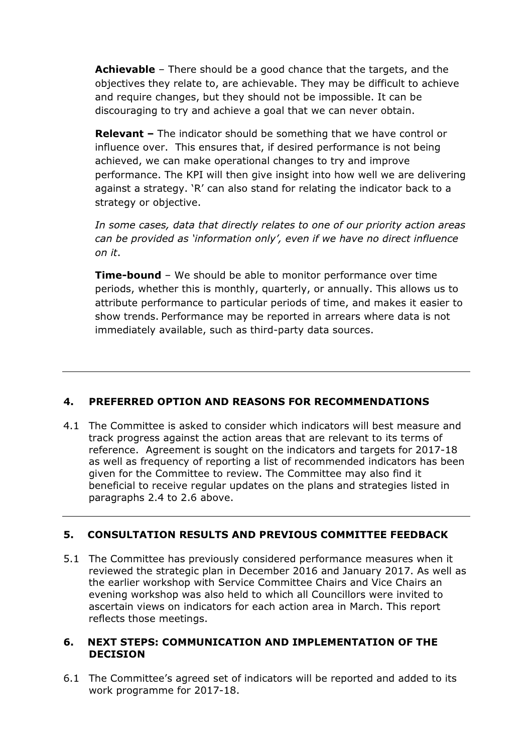Achievable - There should be a good chance that the targets, and the objectives they relate to, are achievable. They may be difficult to achieve and require changes, but they should not be impossible. It can be discouraging to try and achieve a goal that we can never obtain.

Relevant - The indicator should be something that we have control or influence over. This ensures that, if desired performance is not being achieved, we can make operational changes to try and improve performance. The KPI will then give insight into how well we are delivering against a strategy. 'R' can also stand for relating the indicator back to a strategy or objective.

In some cases, data that directly relates to one of our priority action areas can be provided as 'information only', even if we have no direct influence on it.

**Time-bound** – We should be able to monitor performance over time periods, whether this is monthly, quarterly, or annually. This allows us to attribute performance to particular periods of time, and makes it easier to show trends. Performance may be reported in arrears where data is not immediately available, such as third-party data sources.

## 4. PREFERRED OPTION AND REASONS FOR RECOMMENDATIONS

4.1 The Committee is asked to consider which indicators will best measure and track progress against the action areas that are relevant to its terms of reference. Agreement is sought on the indicators and targets for 2017-18 as well as frequency of reporting a list of recommended indicators has been given for the Committee to review. The Committee may also find it beneficial to receive regular updates on the plans and strategies listed in paragraphs 2.4 to 2.6 above.

## 5. CONSULTATION RESULTS AND PREVIOUS COMMITTEE FEEDBACK

5.1 The Committee has previously considered performance measures when it reviewed the strategic plan in December 2016 and January 2017. As well as the earlier workshop with Service Committee Chairs and Vice Chairs an evening workshop was also held to which all Councillors were invited to ascertain views on indicators for each action area in March. This report reflects those meetings.

#### 6. NEXT STEPS: COMMUNICATION AND IMPLEMENTATION OF THE **DECISION**

6.1 The Committee's agreed set of indicators will be reported and added to its work programme for 2017-18.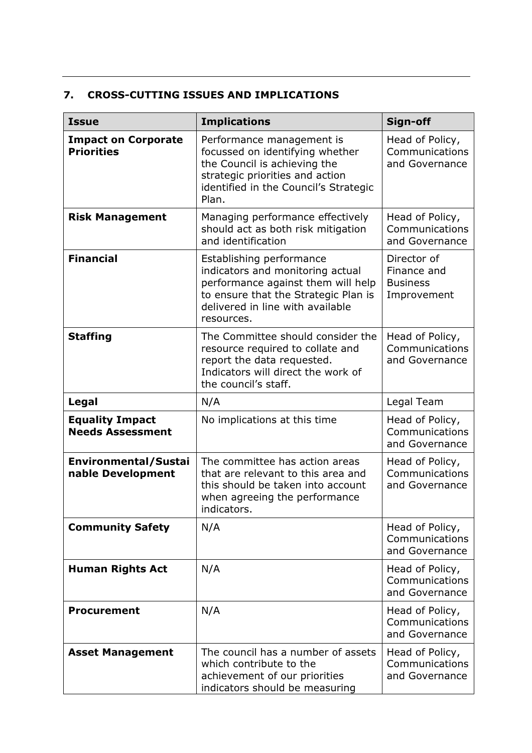## 7. CROSS-CUTTING ISSUES AND IMPLICATIONS

| <b>Issue</b>                                      | <b>Implications</b>                                                                                                                                                                          | Sign-off                                                     |
|---------------------------------------------------|----------------------------------------------------------------------------------------------------------------------------------------------------------------------------------------------|--------------------------------------------------------------|
| <b>Impact on Corporate</b><br><b>Priorities</b>   | Performance management is<br>focussed on identifying whether<br>the Council is achieving the<br>strategic priorities and action<br>identified in the Council's Strategic<br>Plan.            | Head of Policy,<br>Communications<br>and Governance          |
| <b>Risk Management</b>                            | Managing performance effectively<br>should act as both risk mitigation<br>and identification                                                                                                 | Head of Policy,<br>Communications<br>and Governance          |
| <b>Financial</b>                                  | Establishing performance<br>indicators and monitoring actual<br>performance against them will help<br>to ensure that the Strategic Plan is<br>delivered in line with available<br>resources. | Director of<br>Finance and<br><b>Business</b><br>Improvement |
| <b>Staffing</b>                                   | The Committee should consider the<br>resource required to collate and<br>report the data requested.<br>Indicators will direct the work of<br>the council's staff.                            | Head of Policy,<br>Communications<br>and Governance          |
| Legal                                             | N/A                                                                                                                                                                                          | Legal Team                                                   |
| <b>Equality Impact</b><br><b>Needs Assessment</b> | No implications at this time                                                                                                                                                                 | Head of Policy,<br>Communications<br>and Governance          |
| Environmental/Sustai<br>nable Development         | The committee has action areas<br>that are relevant to this area and<br>this should be taken into account<br>when agreeing the performance<br>indicators.                                    | Head of Policy,<br>Communications<br>and Governance          |
| <b>Community Safety</b>                           | N/A                                                                                                                                                                                          | Head of Policy,<br>Communications<br>and Governance          |
| <b>Human Rights Act</b>                           | N/A                                                                                                                                                                                          | Head of Policy,<br>Communications<br>and Governance          |
| <b>Procurement</b>                                | N/A                                                                                                                                                                                          | Head of Policy,<br>Communications<br>and Governance          |
| <b>Asset Management</b>                           | The council has a number of assets<br>which contribute to the<br>achievement of our priorities<br>indicators should be measuring                                                             | Head of Policy,<br>Communications<br>and Governance          |